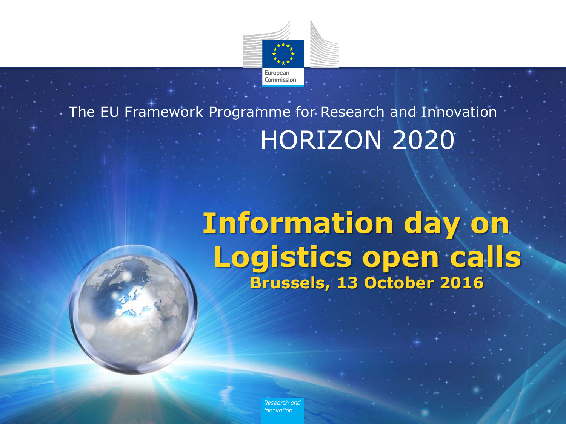

## HORIZON 2020 The EU Framework Programme for Research and Innovation

# **Information day on Logistics open calls Brussels, 13 October 2016**

Research and Innovation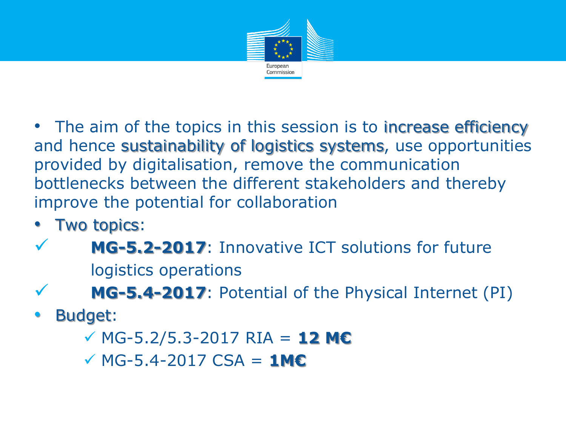

• The aim of the topics in this session is to increase efficiency and hence sustainability of logistics systems, use opportunities provided by digitalisation, remove the communication bottlenecks between the different stakeholders and thereby improve the potential for collaboration

- Two topics:
- **MG-5.2-2017**: Innovative ICT solutions for future logistics operations
- **MG-5.4-2017**: Potential of the Physical Internet (PI)
- Budget:
	- MG-5.2/5.3-2017 RIA = **12 M€**
	- MG-5.4-2017 CSA = **1M€**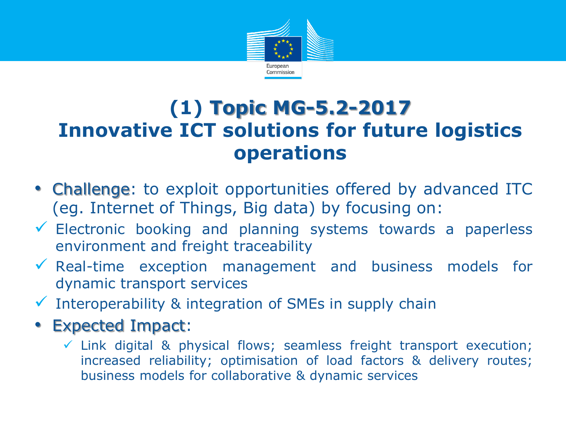

### **(1) Topic MG-5.2-2017 Innovative ICT solutions for future logistics operations**

- Challenge: to exploit opportunities offered by advanced ITC (eg. Internet of Things, Big data) by focusing on:
- $\checkmark$  Electronic booking and planning systems towards a paperless environment and freight traceability
- $\sqrt{\ }$  Real-time exception management and business models for dynamic transport services
- $\checkmark$  Interoperability & integration of SMEs in supply chain
- Expected Impact:
	- $\checkmark$  Link digital & physical flows; seamless freight transport execution; increased reliability; optimisation of load factors & delivery routes; business models for collaborative & dynamic services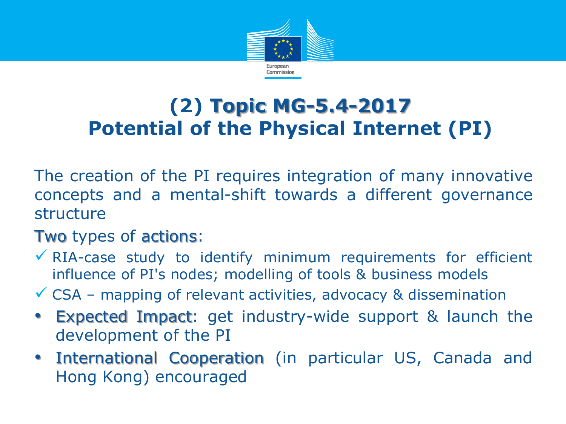

### **(2) Topic MG-5.4-2017 Potential of the Physical Internet (PI)**

The creation of the PI requires integration of many innovative concepts and a mental-shift towards a different governance structure

#### Two types of actions:

- $\checkmark$  RIA-case study to identify minimum requirements for efficient influence of PI's nodes; modelling of tools & business models
- $\checkmark$  CSA mapping of relevant activities, advocacy & dissemination
- Expected Impact: get industry-wide support & launch the development of the PI
- International Cooperation (in particular US, Canada and Hong Kong) encouraged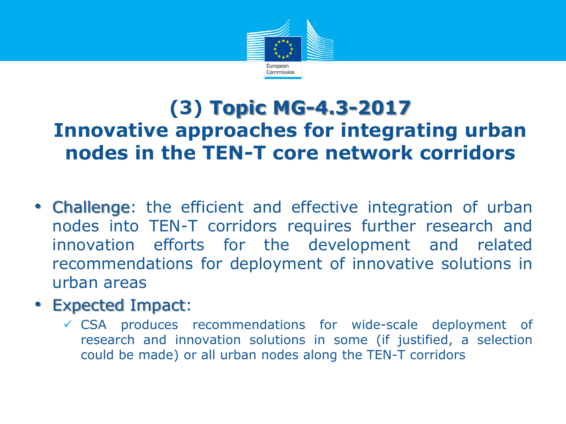

### **(3) Topic MG-4.3-2017 Innovative approaches for integrating urban nodes in the TEN-T core network corridors**

- Challenge: the efficient and effective integration of urban nodes into TEN-T corridors requires further research and innovation efforts for the development and related recommendations for deployment of innovative solutions in urban areas
- Expected Impact:
	- $\checkmark$  CSA produces recommendations for wide-scale deployment of research and innovation solutions in some (if justified, a selection could be made) or all urban nodes along the TEN-T corridors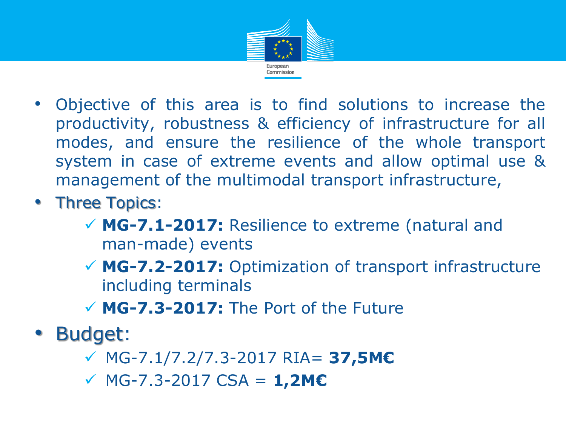

- Objective of this area is to find solutions to increase the productivity, robustness & efficiency of infrastructure for all modes, and ensure the resilience of the whole transport system in case of extreme events and allow optimal use & management of the multimodal transport infrastructure,
- Three Topics:
	- **MG-7.1-2017:** Resilience to extreme (natural and man-made) events
	- **MG-7.2-2017:** Optimization of transport infrastructure including terminals
	- **MG-7.3-2017:** The Port of the Future
- Budget:
	- MG-7.1/7.2/7.3-2017 RIA= **37,5M€**
	- MG-7.3-2017 CSA = **1,2M€**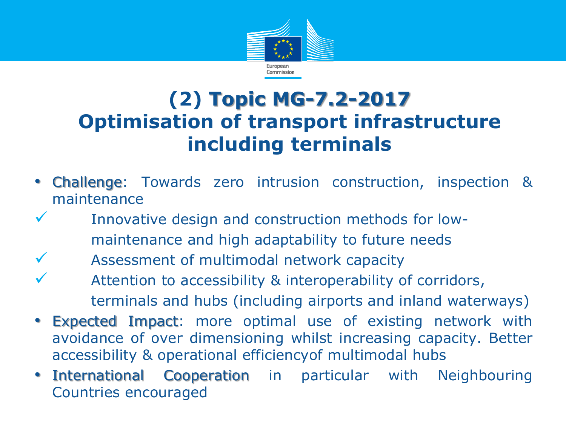

### **(2) Topic MG-7.2-2017 Optimisation of transport infrastructure including terminals**

- Challenge: Towards zero intrusion construction, inspection & maintenance
	- Innovative design and construction methods for lowmaintenance and high adaptability to future needs
- Assessment of multimodal network capacity
- Attention to accessibility & interoperability of corridors, terminals and hubs (including airports and inland waterways)
- **Expected Impact:** more optimal use of existing network with avoidance of over dimensioning whilst increasing capacity. Better accessibility & operational efficiencyof multimodal hubs
- International Cooperation in particular with Neighbouring Countries encouraged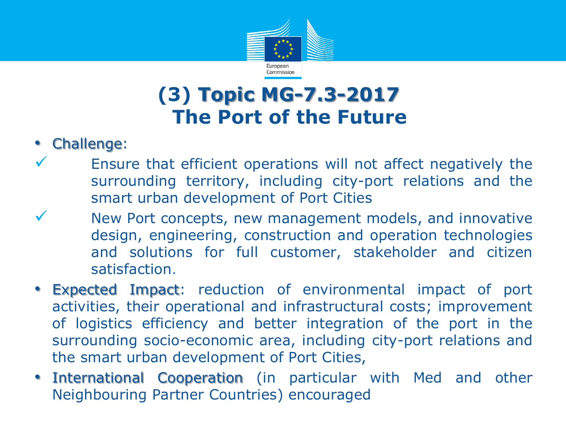

### **(3) Topic MG-7.3-2017 The Port of the Future**

- Challenge:
	- Ensure that efficient operations will not affect negatively the surrounding territory, including city-port relations and the smart urban development of Port Cities
	- New Port concepts, new management models, and innovative design, engineering, construction and operation technologies and solutions for full customer, stakeholder and citizen satisfaction.
- Expected Impact: reduction of environmental impact of port activities, their operational and infrastructural costs; improvement of logistics efficiency and better integration of the port in the surrounding socio-economic area, including city-port relations and the smart urban development of Port Cities,
- International Cooperation (in particular with Med and other Neighbouring Partner Countries) encouraged